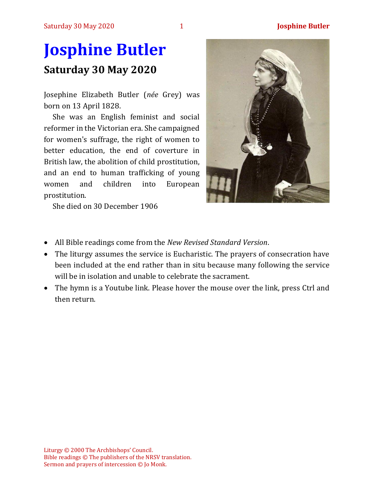# **Josphine Butler Saturday 30 May 2020**

Josephine Elizabeth Butler (*née* Grey) was born on 13 April 1828.

She was an English feminist and social reformer in the Victorian era. She campaigned for women's suffrage, the right of women to better education, the end of coverture in British law, the abolition of child prostitution, and an end to human trafficking of young women and children into European prostitution.



She died on 30 December 1906

- All Bible readings come from the *New Revised Standard Version*.
- The liturgy assumes the service is Eucharistic. The prayers of consecration have been included at the end rather than in situ because many following the service will be in isolation and unable to celebrate the sacrament.
- The hymn is a Youtube link. Please hover the mouse over the link, press Ctrl and then return.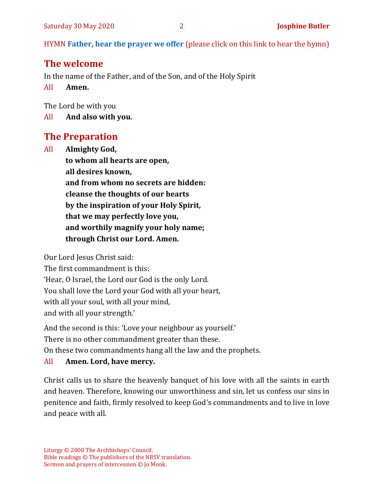HYMN **[Father, hear the prayer we offer](https://www.youtube.com/watch?v=xQsFc0kZoYM&feature=youtu.be)** (please click on this link to hear the hymn)

# **The welcome**

In the name of the Father, and of the Son, and of the Holy Spirit

All **Amen.**

The Lord be with you

All **And also with you.**

# **The Preparation**

All **Almighty God, to whom all hearts are open, all desires known, and from whom no secrets are hidden: cleanse the thoughts of our hearts by the inspiration of your Holy Spirit, that we may perfectly love you, and worthily magnify your holy name; through Christ our Lord. Amen.**

Our Lord Jesus Christ said:

The first commandment is this: 'Hear, O Israel, the Lord our God is the only Lord. You shall love the Lord your God with all your heart, with all your soul, with all your mind, and with all your strength.'

And the second is this: 'Love your neighbour as yourself.'

There is no other commandment greater than these.

On these two commandments hang all the law and the prophets.

## All **Amen. Lord, have mercy.**

Christ calls us to share the heavenly banquet of his love with all the saints in earth and heaven. Therefore, knowing our unworthiness and sin, let us confess our sins in penitence and faith, firmly resolved to keep God's commandments and to live in love and peace with all.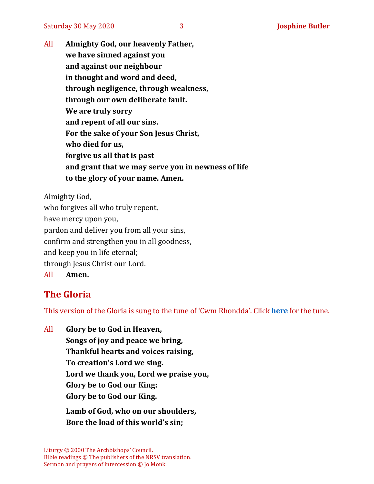All **Almighty God, our heavenly Father, we have sinned against you and against our neighbour in thought and word and deed, through negligence, through weakness, through our own deliberate fault. We are truly sorry and repent of all our sins. For the sake of your Son Jesus Christ, who died for us, forgive us all that is past and grant that we may serve you in newness of life to the glory of your name. Amen.**

Almighty God, who forgives all who truly repent, have mercy upon you, pardon and deliver you from all your sins, confirm and strengthen you in all goodness, and keep you in life eternal; through Jesus Christ our Lord. All **Amen.**

# **The Gloria**

This version of the Gloria is sung to the tune of 'Cwm Rhondda'. Click **[here](https://www.youtube.com/watch?v=BtGhnEwY74E)** for the tune.

All **Glory be to God in Heaven, Songs of joy and peace we bring, Thankful hearts and voices raising, To creation's Lord we sing. Lord we thank you, Lord we praise you, Glory be to God our King: Glory be to God our King.**

> **Lamb of God, who on our shoulders, Bore the load of this world's sin;**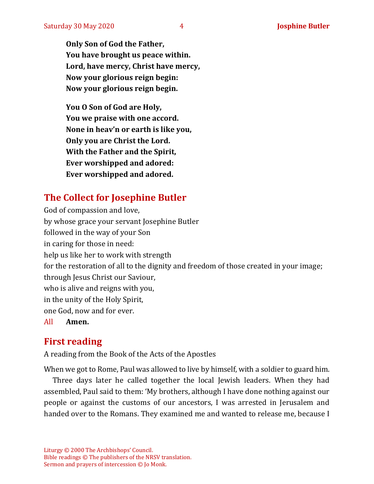**Only Son of God the Father, You have brought us peace within. Lord, have mercy, Christ have mercy, Now your glorious reign begin: Now your glorious reign begin.**

**You O Son of God are Holy, You we praise with one accord. None in heav'n or earth is like you, Only you are Christ the Lord. With the Father and the Spirit, Ever worshipped and adored: Ever worshipped and adored.**

# **The Collect for Josephine Butler**

God of compassion and love, by whose grace your servant Josephine Butler followed in the way of your Son in caring for those in need: help us like her to work with strength for the restoration of all to the dignity and freedom of those created in your image; through Jesus Christ our Saviour, who is alive and reigns with you, in the unity of the Holy Spirit, one God, now and for ever. All **Amen.**

# **First reading**

A reading from the Book of the Acts of the Apostles

When we got to Rome, Paul was allowed to live by himself, with a soldier to guard him.

Three days later he called together the local Jewish leaders. When they had assembled, Paul said to them: 'My brothers, although I have done nothing against our people or against the customs of our ancestors, I was arrested in Jerusalem and handed over to the Romans. They examined me and wanted to release me, because I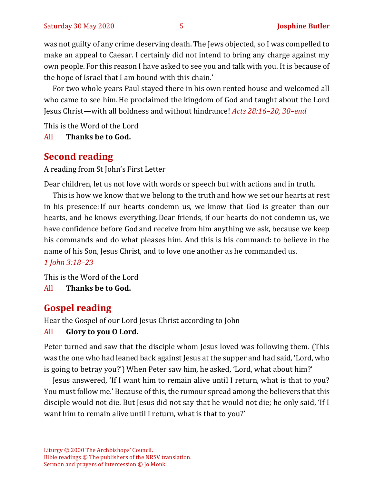was not guilty of any crime deserving death. The Jews objected, so I was compelled to make an appeal to Caesar. I certainly did not intend to bring any charge against my own people. For this reason I have asked to see you and talk with you. It is because of the hope of Israel that I am bound with this chain.'

For two whole years Paul stayed there in his own rented house and welcomed all who came to see him.He proclaimed the kingdom of God and taught about the Lord Jesus Christ—with all boldness and without hindrance! *Acts 28:16–20, 30–end*

This is the Word of the Lord

All **Thanks be to God.**

# **Second reading**

A reading from St John's First Letter

Dear children, let us not love with words or speech but with actions and in truth.

This is how we know that we belong to the truth and how we set our hearts at rest in his presence:If our hearts condemn us, we know that God is greater than our hearts, and he knows everything.Dear friends, if our hearts do not condemn us, we have confidence before God and receive from him anything we ask, because we keep his commands and do what pleases him. And this is his command: to believe in the name of his Son, Jesus Christ, and to love one another as he commanded us. *1 John 3:18–23*

This is the Word of the Lord

All **Thanks be to God.**

# **Gospel reading**

Hear the Gospel of our Lord Jesus Christ according to John

## All **Glory to you O Lord.**

Peter turned and saw that the disciple whom Jesus loved was following them. (This was the one who had leaned back against Jesus at the supper and had said, 'Lord, who is going to betray you?') When Peter saw him, he asked, 'Lord, what about him?'

Jesus answered, 'If I want him to remain alive until I return, what is that to you? You must follow me.' Because of this, the rumour spread among the believers that this disciple would not die. But Jesus did not say that he would not die; he only said, 'If I want him to remain alive until I return, what is that to you?'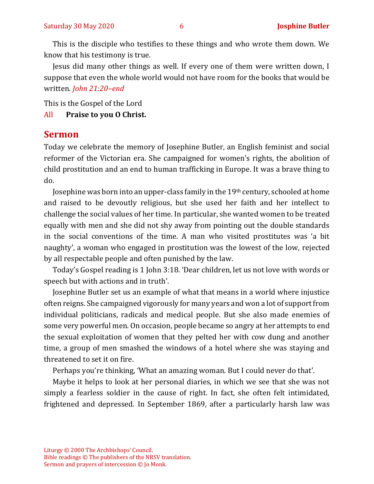This is the disciple who testifies to these things and who wrote them down. We know that his testimony is true.

Jesus did many other things as well. If every one of them were written down, I suppose that even the whole world would not have room for the books that would be written. *John 21:20–end* 

This is the Gospel of the Lord

#### All **Praise to you O Christ.**

#### **Sermon**

Today we celebrate the memory of Josephine Butler, an English feminist and social reformer of the Victorian era. She campaigned for women's rights, the abolition of child prostitution and an end to human trafficking in Europe. It was a brave thing to do.

Josephine was born into an upper-class family in the 19th century, schooled at home and raised to be devoutly religious, but she used her faith and her intellect to challenge the social values of her time. In particular, she wanted women to be treated equally with men and she did not shy away from pointing out the double standards in the social conventions of the time. A man who visited prostitutes was 'a bit naughty', a woman who engaged in prostitution was the lowest of the low, rejected by all respectable people and often punished by the law.

Today's Gospel reading is 1 John 3:18. 'Dear children, let us not love with words or speech but with actions and in truth'.

Josephine Butler set us an example of what that means in a world where injustice often reigns. She campaigned vigorously for many years and won a lot of support from individual politicians, radicals and medical people. But she also made enemies of some very powerful men. On occasion, people became so angry at her attempts to end the sexual exploitation of women that they pelted her with cow dung and another time, a group of men smashed the windows of a hotel where she was staying and threatened to set it on fire.

Perhaps you're thinking, 'What an amazing woman. But I could never do that'.

Maybe it helps to look at her personal diaries, in which we see that she was not simply a fearless soldier in the cause of right. In fact, she often felt intimidated, frightened and depressed. In September 1869, after a particularly harsh law was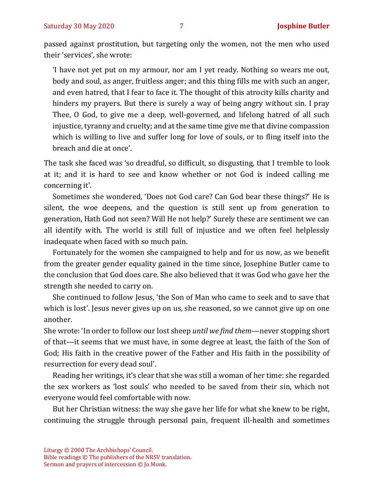passed against prostitution, but targeting only the women, not the men who used their 'services', she wrote:

'I have not yet put on my armour, nor am I yet ready. Nothing so wears me out, body and soul, as anger, fruitless anger; and this thing fills me with such an anger, and even hatred, that I fear to face it. The thought of this atrocity kills charity and hinders my prayers. But there is surely a way of being angry without sin. I pray Thee, O God, to give me a deep, well-governed, and lifelong hatred of all such injustice, tyranny and cruelty; and at the same time give me that divine compassion which is willing to live and suffer long for love of souls, or to fling itself into the breach and die at once'.

The task she faced was 'so dreadful, so difficult, so disgusting, that I tremble to look at it; and it is hard to see and know whether or not God is indeed calling me concerning it'.

Sometimes she wondered, 'Does not God care? Can God bear these things?' He is silent, the woe deepens, and the question is still sent up from generation to generation, Hath God not seen? Will He not help?' Surely these are sentiment we can all identify with. The world is still full of injustice and we often feel helplessly inadequate when faced with so much pain.

Fortunately for the women she campaigned to help and for us now, as we benefit from the greater gender equality gained in the time since, Josephine Butler came to the conclusion that God does care. She also believed that it was God who gave her the strength she needed to carry on.

She continued to follow Jesus, 'the Son of Man who came to seek and to save that which is lost'. Jesus never gives up on us, she reasoned, so we cannot give up on one another.

She wrote: 'In order to follow our lost sheep *until we find them*—never stopping short of that—it seems that we must have, in some degree at least, the faith of the Son of God; His faith in the creative power of the Father and His faith in the possibility of resurrection for every dead soul'.

Reading her writings, it's clear that she was still a woman of her time: she regarded the sex workers as 'lost souls' who needed to be saved from their sin, which not everyone would feel comfortable with now.

But her Christian witness: the way she gave her life for what she knew to be right, continuing the struggle through personal pain, frequent ill-health and sometimes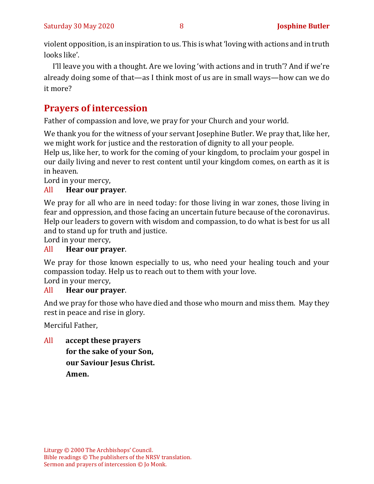violent opposition, is an inspiration to us. This is what 'loving with actions and in truth looks like'.

I'll leave you with a thought. Are we loving 'with actions and in truth'? And if we're already doing some of that—as I think most of us are in small ways—how can we do it more?

# **Prayers of intercession**

Father of compassion and love, we pray for your Church and your world.

We thank you for the witness of your servant Josephine Butler. We pray that, like her, we might work for justice and the restoration of dignity to all your people.

Help us, like her, to work for the coming of your kingdom, to proclaim your gospel in our daily living and never to rest content until your kingdom comes, on earth as it is in heaven.

Lord in your mercy,

## All **Hear our prayer**.

We pray for all who are in need today: for those living in war zones, those living in fear and oppression, and those facing an uncertain future because of the coronavirus. Help our leaders to govern with wisdom and compassion, to do what is best for us all and to stand up for truth and justice.

Lord in your mercy,

## All **Hear our prayer**.

We pray for those known especially to us, who need your healing touch and your compassion today. Help us to reach out to them with your love.

Lord in your mercy,

## All **Hear our prayer**.

And we pray for those who have died and those who mourn and miss them. May they rest in peace and rise in glory.

Merciful Father,

All **accept these prayers for the sake of your Son, our Saviour Jesus Christ.** 

**Amen.**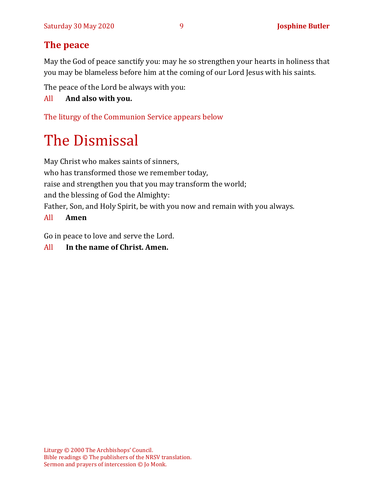# **The peace**

May the God of peace sanctify you: may he so strengthen your hearts in holiness that you may be blameless before him at the coming of our Lord Jesus with his saints.

The peace of the Lord be always with you:

#### All **And also with you.**

The liturgy of the Communion Service appears below

# The Dismissal

May Christ who makes saints of sinners, who has transformed those we remember today, raise and strengthen you that you may transform the world; and the blessing of God the Almighty: Father, Son, and Holy Spirit, be with you now and remain with you always.

#### All **Amen**

Go in peace to love and serve the Lord.

#### All **In the name of Christ. Amen.**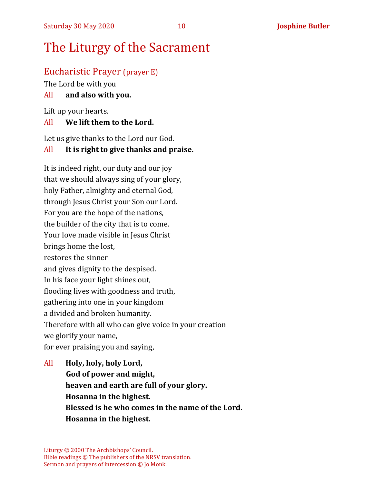# Eucharistic Prayer (prayer E)

The Lord be with you

#### All **and also with you.**

Lift up your hearts.

#### All **We lift them to the Lord.**

Let us give thanks to the Lord our God.

#### All **It is right to give thanks and praise.**

It is indeed right, our duty and our joy that we should always sing of your glory, holy Father, almighty and eternal God, through Jesus Christ your Son our Lord. For you are the hope of the nations, the builder of the city that is to come. Your love made visible in Jesus Christ brings home the lost, restores the sinner and gives dignity to the despised. In his face your light shines out, flooding lives with goodness and truth, gathering into one in your kingdom a divided and broken humanity. Therefore with all who can give voice in your creation we glorify your name, for ever praising you and saying,

All **Holy, holy, holy Lord, God of power and might, heaven and earth are full of your glory. Hosanna in the highest. Blessed is he who comes in the name of the Lord. Hosanna in the highest.**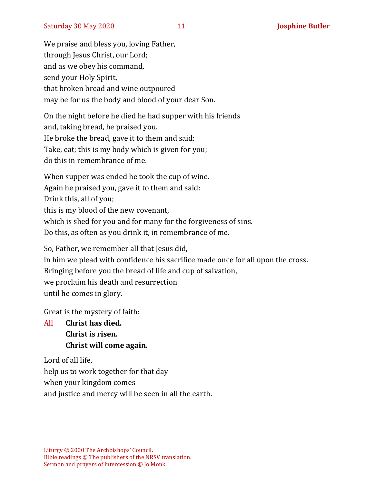We praise and bless you, loving Father, through Jesus Christ, our Lord; and as we obey his command, send your Holy Spirit, that broken bread and wine outpoured may be for us the body and blood of your dear Son.

On the night before he died he had supper with his friends and, taking bread, he praised you. He broke the bread, gave it to them and said: Take, eat; this is my body which is given for you; do this in remembrance of me.

When supper was ended he took the cup of wine. Again he praised you, gave it to them and said: Drink this, all of you; this is my blood of the new covenant, which is shed for you and for many for the forgiveness of sins. Do this, as often as you drink it, in remembrance of me.

So, Father, we remember all that Jesus did, in him we plead with confidence his sacrifice made once for all upon the cross. Bringing before you the bread of life and cup of salvation, we proclaim his death and resurrection until he comes in glory.

Great is the mystery of faith:

All **Christ has died. Christ is risen. Christ will come again.**

Lord of all life, help us to work together for that day when your kingdom comes and justice and mercy will be seen in all the earth.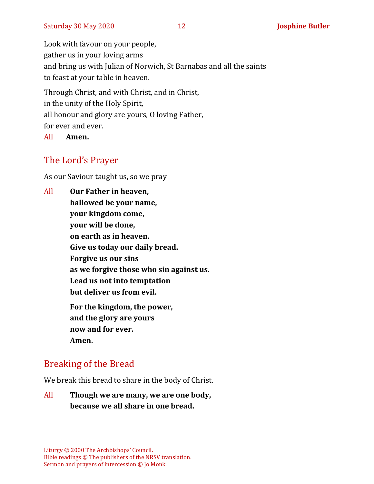Look with favour on your people, gather us in your loving arms and bring us with Julian of Norwich, St Barnabas and all the saints to feast at your table in heaven.

Through Christ, and with Christ, and in Christ, in the unity of the Holy Spirit, all honour and glory are yours, O loving Father, for ever and ever.

All **Amen.**

# The Lord's Prayer

As our Saviour taught us, so we pray

All **Our Father in heaven, hallowed be your name, your kingdom come, your will be done, on earth as in heaven. Give us today our daily bread. Forgive us our sins as we forgive those who sin against us. Lead us not into temptation but deliver us from evil. For the kingdom, the power, and the glory are yours now and for ever. Amen.**

# Breaking of the Bread

We break this bread to share in the body of Christ.

All **Though we are many, we are one body, because we all share in one bread.**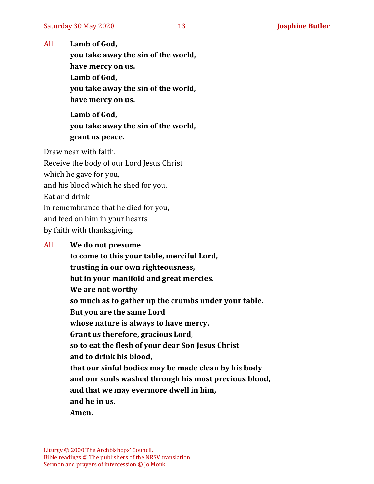All **Lamb of God,**

**you take away the sin of the world, have mercy on us. Lamb of God, you take away the sin of the world, have mercy on us.**

**Lamb of God, you take away the sin of the world, grant us peace.**

Draw near with faith.

Receive the body of our Lord Jesus Christ which he gave for you, and his blood which he shed for you. Eat and drink in remembrance that he died for you, and feed on him in your hearts by faith with thanksgiving.

#### All **We do not presume**

**to come to this your table, merciful Lord, trusting in our own righteousness, but in your manifold and great mercies. We are not worthy so much as to gather up the crumbs under your table. But you are the same Lord whose nature is always to have mercy. Grant us therefore, gracious Lord, so to eat the flesh of your dear Son Jesus Christ and to drink his blood, that our sinful bodies may be made clean by his body and our souls washed through his most precious blood, and that we may evermore dwell in him, and he in us. Amen.**